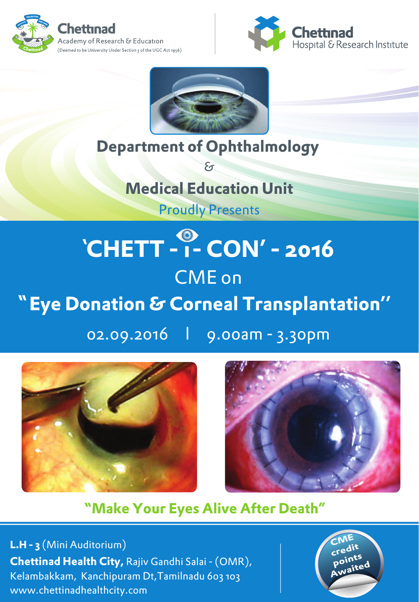





## **Department of Ophthalmology**  &

**Medical Education Unit** Proudly Presents

## **n CHETT - 1- CON' - 2016** CME on  **Eye Donation & Corneal Transplantation''**

02.09.2016 l 9.00am - 3.30pm





## **Make Your Eyes Alive After Death"**

**L.H - 3** (Mini Auditorium) **Chettinad Health City,** Rajiv Gandhi Salai - (OMR), Kelambakkam, Kanchipuram Dt,Tamilnadu 603 103 www.chettinadhealthcity.com